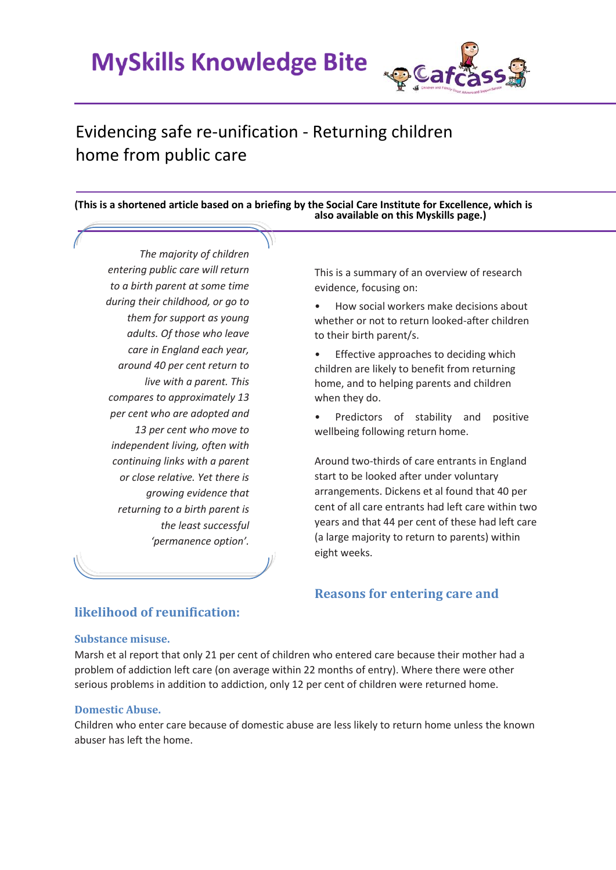**MySkills Knowledge Bite** 



# Evidencing safe re-unification - Returning children home from public care

**(This is a shortened article based on a briefing by the Social Care Institute for Excellence, which is also available on this Myskills page.)**

*The majority of children entering public care will return to a birth parent at some time during their childhood, or go to them for support as young adults. Of those who leave care in England each year, around 40 per cent return to live with a parent. This compares to approximately 13 per cent who are adopted and 13 per cent who move to independent living, often with continuing links with a parent or close relative. Yet there is growing evidence that returning to a birth parent is the least successful 'permanence option'.*

This is a summary of an overview of research evidence, focusing on:

• How social workers make decisions about whether or not to return looked-after children to their birth parent/s.

• Effective approaches to deciding which children are likely to benefit from returning home, and to helping parents and children when they do.

• Predictors of stability and positive wellbeing following return home.

Around two-thirds of care entrants in England start to be looked after under voluntary arrangements. Dickens et al found that 40 per cent of all care entrants had left care within two years and that 44 per cent of these had left care (a large majority to return to parents) within eight weeks.

## **likelihood of reunification:**

#### **Substance misuse.**

Marsh et al report that only 21 per cent of children who entered care because their mother had a problem of addiction left care (on average within 22 months of entry). Where there were other serious problems in addition to addiction, only 12 per cent of children were returned home.

#### **Domestic Abuse.**

Children who enter care because of domestic abuse are less likely to return home unless the known abuser has left the home.

## **Reasons for entering care and**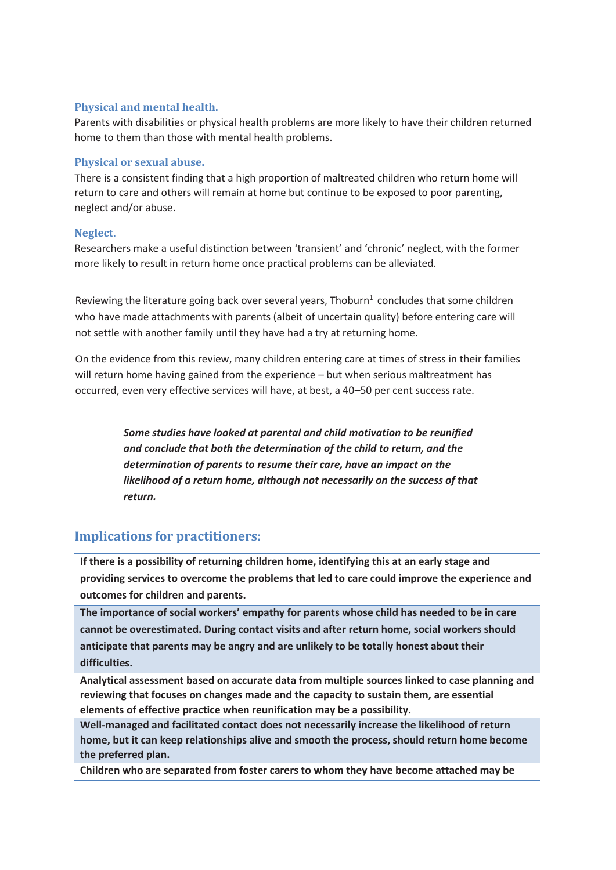#### **Physical and mental health.**

Parents with disabilities or physical health problems are more likely to have their children returned home to them than those with mental health problems.

#### **Physical or sexual abuse.**

There is a consistent finding that a high proportion of maltreated children who return home will return to care and others will remain at home but continue to be exposed to poor parenting, neglect and/or abuse.

#### **Neglect.**

Researchers make a useful distinction between 'transient' and 'chronic' neglect, with the former more likely to result in return home once practical problems can be alleviated.

Reviewing the literature going back over several years, Thoburn $<sup>1</sup>$  concludes that some children</sup> who have made attachments with parents (albeit of uncertain quality) before entering care will not settle with another family until they have had a try at returning home.

On the evidence from this review, many children entering care at times of stress in their families will return home having gained from the experience – but when serious maltreatment has occurred, even very effective services will have, at best, a 40–50 per cent success rate.

> *Some studies have looked at parental and child motivation to be reunified and conclude that both the determination of the child to return, and the determination of parents to resume their care, have an impact on the likelihood of a return home, although not necessarily on the success of that return.*

## **Implications for practitioners:**

**If there is a possibility of returning children home, identifying this at an early stage and providing services to overcome the problems that led to care could improve the experience and outcomes for children and parents.** 

**The importance of social workers' empathy for parents whose child has needed to be in care cannot be overestimated. During contact visits and after return home, social workers should anticipate that parents may be angry and are unlikely to be totally honest about their difficulties.**

**Analytical assessment based on accurate data from multiple sources linked to case planning and reviewing that focuses on changes made and the capacity to sustain them, are essential elements of effective practice when reunification may be a possibility.**

**Well-managed and facilitated contact does not necessarily increase the likelihood of return home, but it can keep relationships alive and smooth the process, should return home become the preferred plan.** 

**Children who are separated from foster carers to whom they have become attached may be**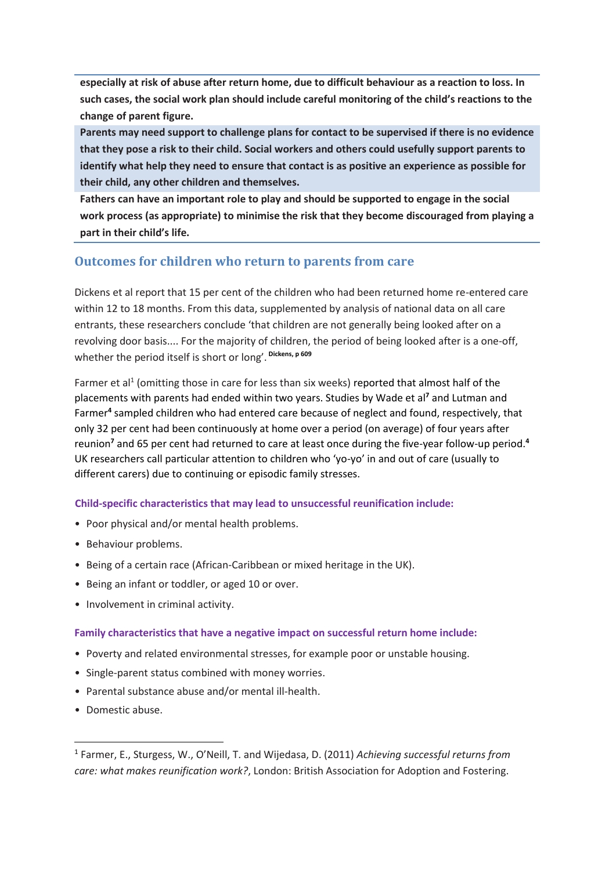**especially at risk of abuse after return home, due to difficult behaviour as a reaction to loss. In such cases, the social work plan should include careful monitoring of the child's reactions to the change of parent figure.** 

**Parents may need support to challenge plans for contact to be supervised if there is no evidence that they pose a risk to their child. Social workers and others could usefully support parents to identify what help they need to ensure that contact is as positive an experience as possible for their child, any other children and themselves.**

**Fathers can have an important role to play and should be supported to engage in the social work process (as appropriate) to minimise the risk that they become discouraged from playing a part in their child's life.**

## **Outcomes for children who return to parents from care**

Dickens et al report that 15 per cent of the children who had been returned home re-entered care within 12 to 18 months. From this data, supplemented by analysis of national data on all care entrants, these researchers conclude 'that children are not generally being looked after on a revolving door basis.... For the majority of children, the period of being looked after is a one-off, whether the period itself is short or long'. **Dickens, p 609**

Farmer et al<sup>1</sup> (omitting those in care for less than six weeks) reported that almost half of the placements with parents had ended within two years. Studies by Wade et al**<sup>7</sup>** and Lutman and Farmer**<sup>4</sup>** sampled children who had entered care because of neglect and found, respectively, that only 32 per cent had been continuously at home over a period (on average) of four years after reunion**<sup>7</sup>** and 65 per cent had returned to care at least once during the five-year follow-up period.**<sup>4</sup>** UK researchers call particular attention to children who 'yo-yo' in and out of care (usually to different carers) due to continuing or episodic family stresses.

### **Child-specific characteristics that may lead to unsuccessful reunification include:**

- Poor physical and/or mental health problems.
- Behaviour problems.
- Being of a certain race (African-Caribbean or mixed heritage in the UK).
- Being an infant or toddler, or aged 10 or over.
- Involvement in criminal activity.

#### **Family characteristics that have a negative impact on successful return home include:**

- Poverty and related environmental stresses, for example poor or unstable housing.
- Single-parent status combined with money worries.
- Parental substance abuse and/or mental ill-health.
- Domestic abuse.

**.** 

<sup>1</sup> Farmer, E., Sturgess, W., O'Neill, T. and Wijedasa, D. (2011) *Achieving successful returns from care: what makes reunification work?*, London: British Association for Adoption and Fostering.